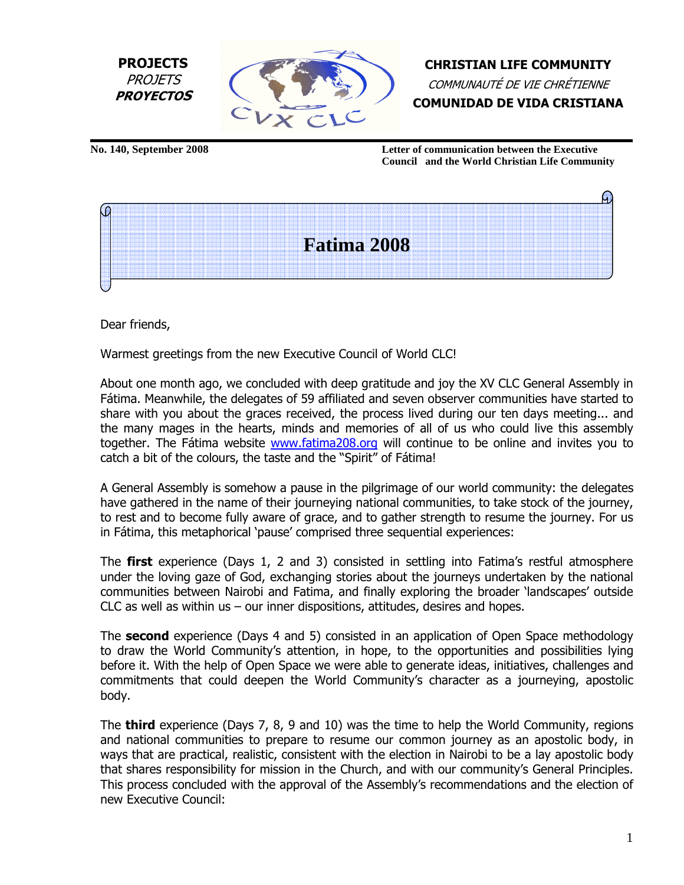



CHRISTIAN LIFE COMMUNITY COMMUNAUTÉ DE VIE CHRÉTIENNE COMUNIDAD DE VIDA CRISTIANA

**No. 140, September 2008 Letter of communication between the Executive Council and the World Christian Life Community**



Dear friends,

ľ

Warmest greetings from the new Executive Council of World CLC!

About one month ago, we concluded with deep gratitude and joy the XV CLC General Assembly in Fátima. Meanwhile, the delegates of 59 affiliated and seven observer communities have started to share with you about the graces received, the process lived during our ten days meeting... and the many mages in the hearts, minds and memories of all of us who could live this assembly together. The Fátima website www.fatima208.org will continue to be online and invites you to catch a bit of the colours, the taste and the "Spirit" of Fátima!

A General Assembly is somehow a pause in the pilgrimage of our world community: the delegates have gathered in the name of their journeying national communities, to take stock of the journey, to rest and to become fully aware of grace, and to gather strength to resume the journey. For us in Fátima, this metaphorical 'pause' comprised three sequential experiences:

The **first** experience (Days 1, 2 and 3) consisted in settling into Fatima's restful atmosphere under the loving gaze of God, exchanging stories about the journeys undertaken by the national communities between Nairobi and Fatima, and finally exploring the broader 'landscapes' outside CLC as well as within us – our inner dispositions, attitudes, desires and hopes.

The **second** experience (Days 4 and 5) consisted in an application of Open Space methodology to draw the World Community's attention, in hope, to the opportunities and possibilities lying before it. With the help of Open Space we were able to generate ideas, initiatives, challenges and commitments that could deepen the World Community's character as a journeying, apostolic body.

The **third** experience (Days 7, 8, 9 and 10) was the time to help the World Community, regions and national communities to prepare to resume our common journey as an apostolic body, in ways that are practical, realistic, consistent with the election in Nairobi to be a lay apostolic body that shares responsibility for mission in the Church, and with our community's General Principles. This process concluded with the approval of the Assembly's recommendations and the election of new Executive Council: